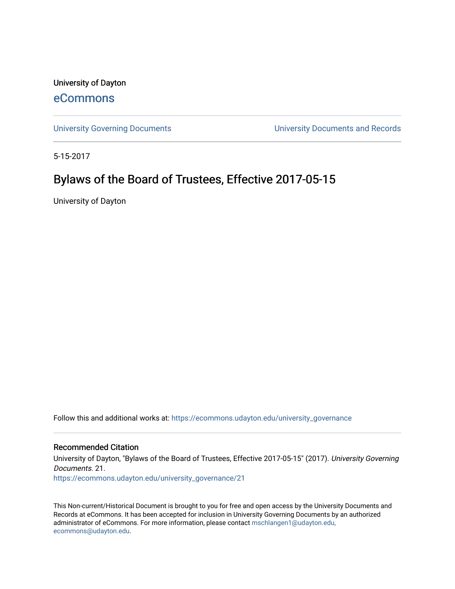University of Dayton

# [eCommons](https://ecommons.udayton.edu/)

[University Governing Documents](https://ecommons.udayton.edu/university_governance) [University Documents and Records](https://ecommons.udayton.edu/ud_documents) 

5-15-2017

# Bylaws of the Board of Trustees, Effective 2017-05-15

University of Dayton

Follow this and additional works at: [https://ecommons.udayton.edu/university\\_governance](https://ecommons.udayton.edu/university_governance?utm_source=ecommons.udayton.edu%2Funiversity_governance%2F21&utm_medium=PDF&utm_campaign=PDFCoverPages) 

#### Recommended Citation

University of Dayton, "Bylaws of the Board of Trustees, Effective 2017-05-15" (2017). University Governing Documents. 21.

[https://ecommons.udayton.edu/university\\_governance/21](https://ecommons.udayton.edu/university_governance/21?utm_source=ecommons.udayton.edu%2Funiversity_governance%2F21&utm_medium=PDF&utm_campaign=PDFCoverPages)

This Non-current/Historical Document is brought to you for free and open access by the University Documents and Records at eCommons. It has been accepted for inclusion in University Governing Documents by an authorized administrator of eCommons. For more information, please contact [mschlangen1@udayton.edu,](mailto:mschlangen1@udayton.edu,%20ecommons@udayton.edu) [ecommons@udayton.edu](mailto:mschlangen1@udayton.edu,%20ecommons@udayton.edu).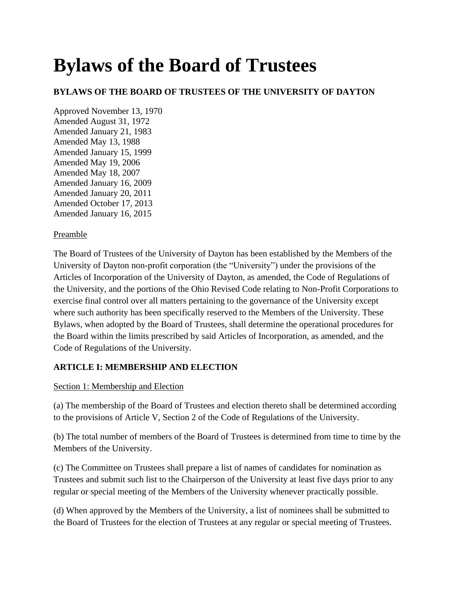# **Bylaws of the Board of Trustees**

# **BYLAWS OF THE BOARD OF TRUSTEES OF THE UNIVERSITY OF DAYTON**

Approved November 13, 1970 Amended August 31, 1972 Amended January 21, 1983 Amended May 13, 1988 Amended January 15, 1999 Amended May 19, 2006 Amended May 18, 2007 Amended January 16, 2009 Amended January 20, 2011 Amended October 17, 2013 Amended January 16, 2015

#### Preamble

The Board of Trustees of the University of Dayton has been established by the Members of the University of Dayton non-profit corporation (the "University") under the provisions of the Articles of Incorporation of the University of Dayton, as amended, the Code of Regulations of the University, and the portions of the Ohio Revised Code relating to Non-Profit Corporations to exercise final control over all matters pertaining to the governance of the University except where such authority has been specifically reserved to the Members of the University. These Bylaws, when adopted by the Board of Trustees, shall determine the operational procedures for the Board within the limits prescribed by said Articles of Incorporation, as amended, and the Code of Regulations of the University.

# **ARTICLE I: MEMBERSHIP AND ELECTION**

#### Section 1: Membership and Election

(a) The membership of the Board of Trustees and election thereto shall be determined according to the provisions of Article V, Section 2 of the Code of Regulations of the University.

(b) The total number of members of the Board of Trustees is determined from time to time by the Members of the University.

(c) The Committee on Trustees shall prepare a list of names of candidates for nomination as Trustees and submit such list to the Chairperson of the University at least five days prior to any regular or special meeting of the Members of the University whenever practically possible.

(d) When approved by the Members of the University, a list of nominees shall be submitted to the Board of Trustees for the election of Trustees at any regular or special meeting of Trustees.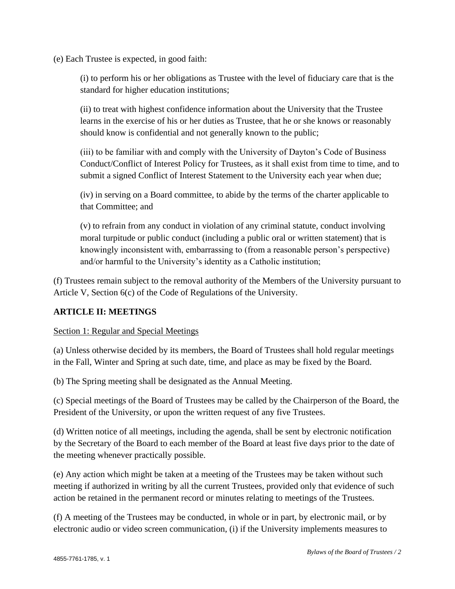(e) Each Trustee is expected, in good faith:

(i) to perform his or her obligations as Trustee with the level of fiduciary care that is the standard for higher education institutions;

(ii) to treat with highest confidence information about the University that the Trustee learns in the exercise of his or her duties as Trustee, that he or she knows or reasonably should know is confidential and not generally known to the public;

(iii) to be familiar with and comply with the University of Dayton's Code of Business Conduct/Conflict of Interest Policy for Trustees, as it shall exist from time to time, and to submit a signed Conflict of Interest Statement to the University each year when due;

(iv) in serving on a Board committee, to abide by the terms of the charter applicable to that Committee; and

(v) to refrain from any conduct in violation of any criminal statute, conduct involving moral turpitude or public conduct (including a public oral or written statement) that is knowingly inconsistent with, embarrassing to (from a reasonable person's perspective) and/or harmful to the University's identity as a Catholic institution;

(f) Trustees remain subject to the removal authority of the Members of the University pursuant to Article V, Section 6(c) of the Code of Regulations of the University.

#### **ARTICLE II: MEETINGS**

Section 1: Regular and Special Meetings

(a) Unless otherwise decided by its members, the Board of Trustees shall hold regular meetings in the Fall, Winter and Spring at such date, time, and place as may be fixed by the Board.

(b) The Spring meeting shall be designated as the Annual Meeting.

(c) Special meetings of the Board of Trustees may be called by the Chairperson of the Board, the President of the University, or upon the written request of any five Trustees.

(d) Written notice of all meetings, including the agenda, shall be sent by electronic notification by the Secretary of the Board to each member of the Board at least five days prior to the date of the meeting whenever practically possible.

(e) Any action which might be taken at a meeting of the Trustees may be taken without such meeting if authorized in writing by all the current Trustees, provided only that evidence of such action be retained in the permanent record or minutes relating to meetings of the Trustees.

(f) A meeting of the Trustees may be conducted, in whole or in part, by electronic mail, or by electronic audio or video screen communication, (i) if the University implements measures to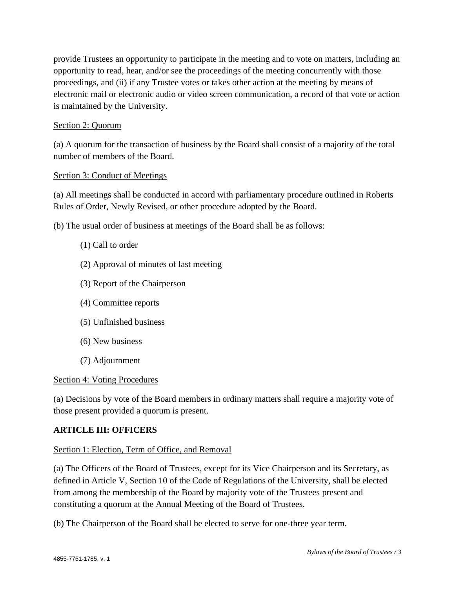provide Trustees an opportunity to participate in the meeting and to vote on matters, including an opportunity to read, hear, and/or see the proceedings of the meeting concurrently with those proceedings, and (ii) if any Trustee votes or takes other action at the meeting by means of electronic mail or electronic audio or video screen communication, a record of that vote or action is maintained by the University.

#### Section 2: Quorum

(a) A quorum for the transaction of business by the Board shall consist of a majority of the total number of members of the Board.

#### Section 3: Conduct of Meetings

(a) All meetings shall be conducted in accord with parliamentary procedure outlined in Roberts Rules of Order, Newly Revised, or other procedure adopted by the Board.

(b) The usual order of business at meetings of the Board shall be as follows:

#### (1) Call to order

- (2) Approval of minutes of last meeting
- (3) Report of the Chairperson
- (4) Committee reports
- (5) Unfinished business
- (6) New business
- (7) Adjournment

#### Section 4: Voting Procedures

(a) Decisions by vote of the Board members in ordinary matters shall require a majority vote of those present provided a quorum is present.

#### **ARTICLE III: OFFICERS**

#### Section 1: Election, Term of Office, and Removal

(a) The Officers of the Board of Trustees, except for its Vice Chairperson and its Secretary, as defined in Article V, Section 10 of the Code of Regulations of the University, shall be elected from among the membership of the Board by majority vote of the Trustees present and constituting a quorum at the Annual Meeting of the Board of Trustees.

(b) The Chairperson of the Board shall be elected to serve for one-three year term.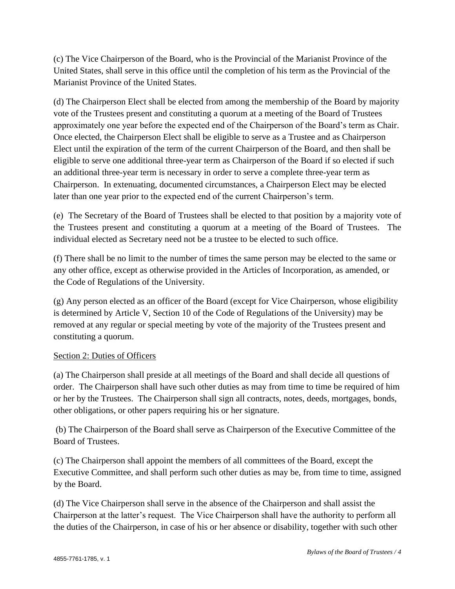(c) The Vice Chairperson of the Board, who is the Provincial of the Marianist Province of the United States, shall serve in this office until the completion of his term as the Provincial of the Marianist Province of the United States.

(d) The Chairperson Elect shall be elected from among the membership of the Board by majority vote of the Trustees present and constituting a quorum at a meeting of the Board of Trustees approximately one year before the expected end of the Chairperson of the Board's term as Chair. Once elected, the Chairperson Elect shall be eligible to serve as a Trustee and as Chairperson Elect until the expiration of the term of the current Chairperson of the Board, and then shall be eligible to serve one additional three-year term as Chairperson of the Board if so elected if such an additional three-year term is necessary in order to serve a complete three-year term as Chairperson. In extenuating, documented circumstances, a Chairperson Elect may be elected later than one year prior to the expected end of the current Chairperson's term.

(e) The Secretary of the Board of Trustees shall be elected to that position by a majority vote of the Trustees present and constituting a quorum at a meeting of the Board of Trustees. The individual elected as Secretary need not be a trustee to be elected to such office.

(f) There shall be no limit to the number of times the same person may be elected to the same or any other office, except as otherwise provided in the Articles of Incorporation, as amended, or the Code of Regulations of the University.

(g) Any person elected as an officer of the Board (except for Vice Chairperson, whose eligibility is determined by Article V, Section 10 of the Code of Regulations of the University) may be removed at any regular or special meeting by vote of the majority of the Trustees present and constituting a quorum.

#### Section 2: Duties of Officers

(a) The Chairperson shall preside at all meetings of the Board and shall decide all questions of order. The Chairperson shall have such other duties as may from time to time be required of him or her by the Trustees. The Chairperson shall sign all contracts, notes, deeds, mortgages, bonds, other obligations, or other papers requiring his or her signature.

(b) The Chairperson of the Board shall serve as Chairperson of the Executive Committee of the Board of Trustees.

(c) The Chairperson shall appoint the members of all committees of the Board, except the Executive Committee, and shall perform such other duties as may be, from time to time, assigned by the Board.

(d) The Vice Chairperson shall serve in the absence of the Chairperson and shall assist the Chairperson at the latter's request. The Vice Chairperson shall have the authority to perform all the duties of the Chairperson, in case of his or her absence or disability, together with such other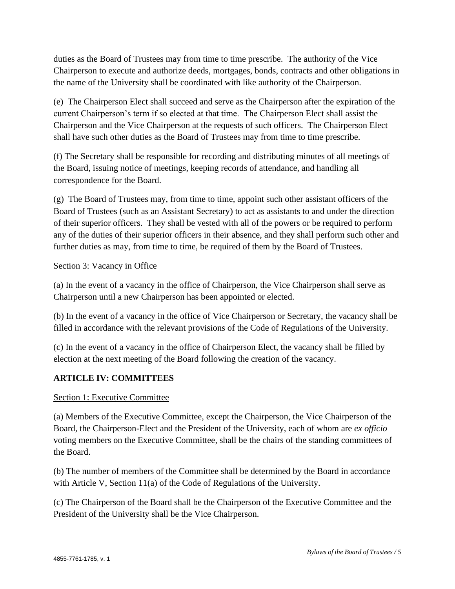duties as the Board of Trustees may from time to time prescribe. The authority of the Vice Chairperson to execute and authorize deeds, mortgages, bonds, contracts and other obligations in the name of the University shall be coordinated with like authority of the Chairperson.

(e) The Chairperson Elect shall succeed and serve as the Chairperson after the expiration of the current Chairperson's term if so elected at that time. The Chairperson Elect shall assist the Chairperson and the Vice Chairperson at the requests of such officers. The Chairperson Elect shall have such other duties as the Board of Trustees may from time to time prescribe.

(f) The Secretary shall be responsible for recording and distributing minutes of all meetings of the Board, issuing notice of meetings, keeping records of attendance, and handling all correspondence for the Board.

(g) The Board of Trustees may, from time to time, appoint such other assistant officers of the Board of Trustees (such as an Assistant Secretary) to act as assistants to and under the direction of their superior officers. They shall be vested with all of the powers or be required to perform any of the duties of their superior officers in their absence, and they shall perform such other and further duties as may, from time to time, be required of them by the Board of Trustees.

#### Section 3: Vacancy in Office

(a) In the event of a vacancy in the office of Chairperson, the Vice Chairperson shall serve as Chairperson until a new Chairperson has been appointed or elected.

(b) In the event of a vacancy in the office of Vice Chairperson or Secretary, the vacancy shall be filled in accordance with the relevant provisions of the Code of Regulations of the University.

(c) In the event of a vacancy in the office of Chairperson Elect, the vacancy shall be filled by election at the next meeting of the Board following the creation of the vacancy.

#### **ARTICLE IV: COMMITTEES**

#### Section 1: Executive Committee

(a) Members of the Executive Committee, except the Chairperson, the Vice Chairperson of the Board, the Chairperson-Elect and the President of the University, each of whom are *ex officio*  voting members on the Executive Committee, shall be the chairs of the standing committees of the Board.

(b) The number of members of the Committee shall be determined by the Board in accordance with Article V, Section 11(a) of the Code of Regulations of the University.

(c) The Chairperson of the Board shall be the Chairperson of the Executive Committee and the President of the University shall be the Vice Chairperson.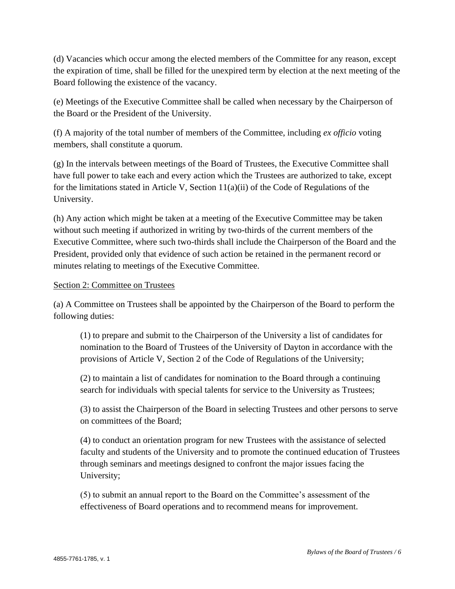(d) Vacancies which occur among the elected members of the Committee for any reason, except the expiration of time, shall be filled for the unexpired term by election at the next meeting of the Board following the existence of the vacancy.

(e) Meetings of the Executive Committee shall be called when necessary by the Chairperson of the Board or the President of the University.

(f) A majority of the total number of members of the Committee, including *ex officio* voting members, shall constitute a quorum.

(g) In the intervals between meetings of the Board of Trustees, the Executive Committee shall have full power to take each and every action which the Trustees are authorized to take, except for the limitations stated in Article V, Section  $11(a)(ii)$  of the Code of Regulations of the University.

(h) Any action which might be taken at a meeting of the Executive Committee may be taken without such meeting if authorized in writing by two-thirds of the current members of the Executive Committee, where such two-thirds shall include the Chairperson of the Board and the President, provided only that evidence of such action be retained in the permanent record or minutes relating to meetings of the Executive Committee.

#### Section 2: Committee on Trustees

(a) A Committee on Trustees shall be appointed by the Chairperson of the Board to perform the following duties:

(1) to prepare and submit to the Chairperson of the University a list of candidates for nomination to the Board of Trustees of the University of Dayton in accordance with the provisions of Article V, Section 2 of the Code of Regulations of the University;

(2) to maintain a list of candidates for nomination to the Board through a continuing search for individuals with special talents for service to the University as Trustees;

(3) to assist the Chairperson of the Board in selecting Trustees and other persons to serve on committees of the Board;

(4) to conduct an orientation program for new Trustees with the assistance of selected faculty and students of the University and to promote the continued education of Trustees through seminars and meetings designed to confront the major issues facing the University;

(5) to submit an annual report to the Board on the Committee's assessment of the effectiveness of Board operations and to recommend means for improvement.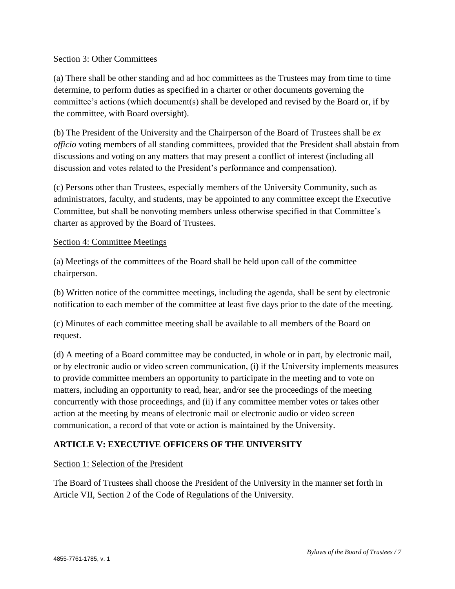#### Section 3: Other Committees

(a) There shall be other standing and ad hoc committees as the Trustees may from time to time determine, to perform duties as specified in a charter or other documents governing the committee's actions (which document(s) shall be developed and revised by the Board or, if by the committee, with Board oversight).

(b) The President of the University and the Chairperson of the Board of Trustees shall be *ex officio* voting members of all standing committees, provided that the President shall abstain from discussions and voting on any matters that may present a conflict of interest (including all discussion and votes related to the President's performance and compensation).

(c) Persons other than Trustees, especially members of the University Community, such as administrators, faculty, and students, may be appointed to any committee except the Executive Committee, but shall be nonvoting members unless otherwise specified in that Committee's charter as approved by the Board of Trustees.

#### Section 4: Committee Meetings

(a) Meetings of the committees of the Board shall be held upon call of the committee chairperson.

(b) Written notice of the committee meetings, including the agenda, shall be sent by electronic notification to each member of the committee at least five days prior to the date of the meeting.

(c) Minutes of each committee meeting shall be available to all members of the Board on request.

(d) A meeting of a Board committee may be conducted, in whole or in part, by electronic mail, or by electronic audio or video screen communication, (i) if the University implements measures to provide committee members an opportunity to participate in the meeting and to vote on matters, including an opportunity to read, hear, and/or see the proceedings of the meeting concurrently with those proceedings, and (ii) if any committee member votes or takes other action at the meeting by means of electronic mail or electronic audio or video screen communication, a record of that vote or action is maintained by the University.

#### **ARTICLE V: EXECUTIVE OFFICERS OF THE UNIVERSITY**

#### Section 1: Selection of the President

The Board of Trustees shall choose the President of the University in the manner set forth in Article VII, Section 2 of the Code of Regulations of the University.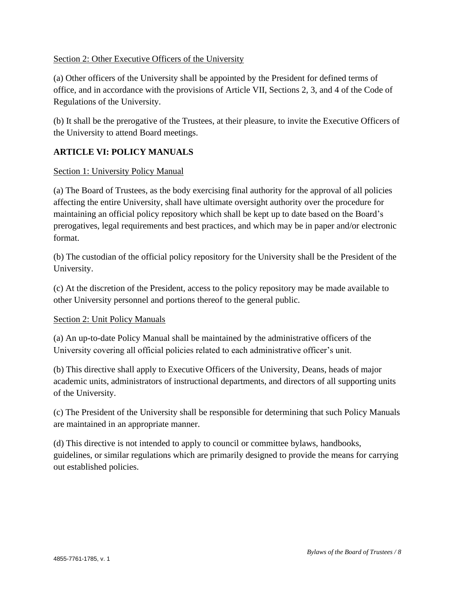#### Section 2: Other Executive Officers of the University

(a) Other officers of the University shall be appointed by the President for defined terms of office, and in accordance with the provisions of Article VII, Sections 2, 3, and 4 of the Code of Regulations of the University.

(b) It shall be the prerogative of the Trustees, at their pleasure, to invite the Executive Officers of the University to attend Board meetings.

## **ARTICLE VI: POLICY MANUALS**

#### Section 1: University Policy Manual

(a) The Board of Trustees, as the body exercising final authority for the approval of all policies affecting the entire University, shall have ultimate oversight authority over the procedure for maintaining an official policy repository which shall be kept up to date based on the Board's prerogatives, legal requirements and best practices, and which may be in paper and/or electronic format.

(b) The custodian of the official policy repository for the University shall be the President of the University.

(c) At the discretion of the President, access to the policy repository may be made available to other University personnel and portions thereof to the general public.

#### Section 2: Unit Policy Manuals

(a) An up-to-date Policy Manual shall be maintained by the administrative officers of the University covering all official policies related to each administrative officer's unit.

(b) This directive shall apply to Executive Officers of the University, Deans, heads of major academic units, administrators of instructional departments, and directors of all supporting units of the University.

(c) The President of the University shall be responsible for determining that such Policy Manuals are maintained in an appropriate manner.

(d) This directive is not intended to apply to council or committee bylaws, handbooks, guidelines, or similar regulations which are primarily designed to provide the means for carrying out established policies.